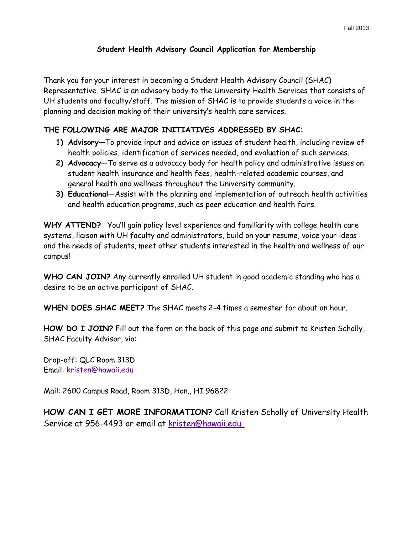## **Student Health Advisory Council Application for Membership**

Thank you for your interest in becoming a Student Health Advisory Council (SHAC) Representative. SHAC is an advisory body to the University Health Services that consists of UH students and faculty/staff. The mission of SHAC is to provide students a voice in the planning and decision making of their university's health care services.

## **THE FOLLOWING ARE MAJOR INITIATIVES ADDRESSED BY SHAC:**

- **1) Advisory—**To provide input and advice on issues of student health, including review of health policies, identification of services needed, and evaluation of such services.
- **2) Advocacy—**To serve as a advocacy body for health policy and administrative issues on student health insurance and health fees, health-related academic courses, and general health and wellness throughout the University community.
- **3) Educational—**Assist with the planning and implementation of outreach health activities and health education programs, such as peer education and health fairs.

**WHY ATTEND?** You'll gain policy level experience and familiarity with college health care systems, liaison with UH faculty and administrators, build on your resume, voice your ideas and the needs of students, meet other students interested in the health and wellness of our campus!

**WHO CAN JOIN?** Any currently enrolled UH student in good academic standing who has a desire to be an active participant of SHAC.

**WHEN DOES SHAC MEET?** The SHAC meets 2-4 times a semester for about an hour.

**HOW DO I JOIN?** Fill out the form on the back of this page and submit to Kristen Scholly, SHAC Faculty Advisor, via:

Drop-off: QLC Room 313D Email: [kristen@hawaii.edu](mailto:camposj@hawaii.edu)

Mail: 2600 Campus Road, Room 313D, Hon., HI 96822

**HOW CAN I GET MORE INFORMATION?** Call Kristen Scholly of University Health Service at 956-4493 or email at kristen[@hawaii.edu](mailto:camposj@hawaii.edu)